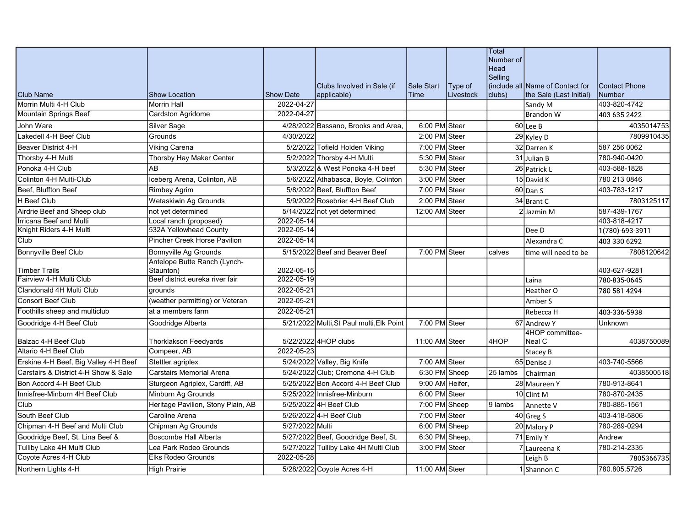|                                       |                                           |                  |                                           |                 |           | Total<br>Number of<br>Head |                                  |                 |
|---------------------------------------|-------------------------------------------|------------------|-------------------------------------------|-----------------|-----------|----------------------------|----------------------------------|-----------------|
|                                       |                                           |                  |                                           |                 |           | Selling                    |                                  |                 |
|                                       |                                           |                  | Clubs Involved in Sale (if                | Sale Start      | Type of   |                            | (include all Name of Contact for | Contact Phone   |
| <b>Club Name</b>                      | <b>Show Location</b>                      | <b>Show Date</b> | applicable)                               | Time            | Livestock | clubs)                     | the Sale (Last Initial)          | Number          |
| Morrin Multi 4-H Club                 | <b>Morrin Hall</b>                        | 2022-04-27       |                                           |                 |           |                            | Sandy M                          | 403-820-4742    |
| <b>Mountain Springs Beef</b>          | Cardston Agridome                         | 2022-04-27       |                                           |                 |           |                            | <b>Brandon W</b>                 | 403 635 2422    |
| John Ware                             | Silver Sage                               |                  | 4/28/2022 Bassano, Brooks and Area,       | 6:00 PM Steer   |           |                            | $\overline{60}$ Lee B            | 4035014753      |
| Lakedell 4-H Beef Club                | Grounds                                   | 4/30/2022        |                                           | 2:00 PM Steer   |           |                            | 29 Kyley D                       | 7809910435      |
| Beaver District 4-H                   | Viking Carena                             |                  | 5/2/2022 Tofield Holden Viking            | 7:00 PM Steer   |           |                            | 32 Darren K                      | 587 256 0062    |
| Thorsby 4-H Multi                     | Thorsby Hay Maker Center                  |                  | 5/2/2022 Thorsby 4-H Multi                | 5:30 PM Steer   |           |                            | $31$ Julian B                    | 780-940-0420    |
| Ponoka 4-H Club                       | AB                                        |                  | 5/3/2022 & West Ponoka 4-H beef           | 5:30 PM Steer   |           |                            | 26 Patrick L                     | 403-588-1828    |
| Colinton 4-H Multi-Club               | Iceberg Arena, Colinton, AB               |                  | 5/6/2022 Athabasca, Boyle, Colinton       | 3:00 PM Steer   |           |                            | 15 David K                       | 780 213 0846    |
| Beef, Bluffton Beef                   | <b>Rimbey Agrim</b>                       |                  | 5/8/2022 Beef, Bluffton Beef              | 7:00 PM Steer   |           |                            | $60$ Dan S                       | 403-783-1217    |
| H Beef Club                           | Wetaskiwin Ag Grounds                     |                  | 5/9/2022 Rosebrier 4-H Beef Club          | 2:00 PM Steer   |           |                            | 34 Brant C                       | 7803125117      |
| Airdrie Beef and Sheep club           | not yet determined                        |                  | 5/14/2022 not yet determined              | 12:00 AM Steer  |           |                            | 2 Jazmin M                       | 587-439-1767    |
| Irricana Beef and Multi               | Local ranch (proposed)                    | 2022-05-14       |                                           |                 |           |                            |                                  | 403-818-4217    |
| Knight Riders 4-H Multi               | 532A Yellowhead County                    | 2022-05-14       |                                           |                 |           |                            | Dee D                            | 1(780)-693-3911 |
| Club                                  | Pincher Creek Horse Pavilion              | 2022-05-14       |                                           |                 |           |                            | Alexandra C                      | 403 330 6292    |
| Bonnyville Beef Club                  | <b>Bonnyville Ag Grounds</b>              |                  | 5/15/2022 Beef and Beaver Beef            | 7:00 PM Steer   |           | calves                     | time will need to be             | 7808120642      |
| <b>Timber Trails</b>                  | Antelope Butte Ranch (Lynch-<br>Staunton) | 2022-05-15       |                                           |                 |           |                            |                                  | 403-627-9281    |
| Fairview 4-H Multi Club               | Beef district eureka river fair           | 2022-05-19       |                                           |                 |           |                            | Laina                            | 780-835-0645    |
| Clandonald 4H Multi Club              | grounds                                   | 2022-05-21       |                                           |                 |           |                            | Heather O                        | 780 581 4294    |
| <b>Consort Beef Club</b>              | (weather permitting) or Veteran           | 2022-05-21       |                                           |                 |           |                            | Amber S                          |                 |
| Foothills sheep and multiclub         | at a members farm                         | 2022-05-21       |                                           |                 |           |                            | Rebecca H                        | 403-336-5938    |
| Goodridge 4-H Beef Club               | Goodridge Alberta                         |                  | 5/21/2022 Multi, St Paul multi, Elk Point | 7:00 PM Steer   |           |                            | 67 Andrew Y                      | Unknown         |
| Balzac 4-H Beef Club                  | <b>Thorklakson Feedyards</b>              |                  | 5/22/2022 4HOP clubs                      | 11:00 AM Steer  |           | 4HOP                       | 4HOP committee-<br>Neal C        | 4038750089      |
| Altario 4-H Beef Club                 | Compeer, AB                               | 2022-05-23       |                                           |                 |           |                            | Stacey B                         |                 |
| Erskine 4-H Beef, Big Valley 4-H Beef | Stettler agriplex                         |                  | 5/24/2022 Valley, Big Knife               | 7:00 AM Steer   |           |                            | 65 Denise J                      | 403-740-5566    |
| Carstairs & District 4-H Show & Sale  | Carstairs Memorial Arena                  |                  | 5/24/2022 Club; Cremona 4-H Club          | 6:30 PM Sheep   |           | 25 lambs                   | Chairman                         | 4038500518      |
| Bon Accord 4-H Beef Club              | Sturgeon Agriplex, Cardiff, AB            |                  | 5/25/2022 Bon Accord 4-H Beef Club        | 9:00 AM Heifer, |           |                            | 28 Maureen Y                     | 780-913-8641    |
| Innisfree-Minburn 4H Beef Club        | Minburn Ag Grounds                        |                  | 5/25/2022 Innisfree-Minburn               | 6:00 PM Steer   |           |                            | 10 Clint M                       | 780-870-2435    |
| Club                                  | Heritage Pavilion, Stony Plain, AB        |                  | 5/25/2022 4H Beef Club                    | 7:00 PM Sheep   |           | 9 lambs                    | Annette V                        | 780-885-1561    |
| South Beef Club                       | Caroline Arena                            |                  | 5/26/2022 4-H Beef Club                   | 7:00 PM Steer   |           |                            | $40$ Greg S                      | 403-418-5806    |
| Chipman 4-H Beef and Multi Club       | Chipman Ag Grounds                        | 5/27/2022 Multi  |                                           | 6:00 PM Sheep   |           |                            | 20 Malory P                      | 780-289-0294    |
| Goodridge Beef, St. Lina Beef &       | <b>Boscombe Hall Alberta</b>              |                  | 5/27/2022 Beef, Goodridge Beef, St.       | 6:30 PM Sheep,  |           |                            | 71 Emily Y                       | Andrew          |
| Tulliby Lake 4H Multi Club            | Lea Park Rodeo Grounds                    |                  | 5/27/2022 Tulliby Lake 4H Multi Club      | 3:00 PM Steer   |           |                            | 7 Laureena K                     | 780-214-2335    |
| Coyote Acres 4-H Club                 | <b>Elks Rodeo Grounds</b>                 | 2022-05-28       |                                           |                 |           |                            | Leigh B                          | 7805366735      |
| Northern Lights 4-H                   | <b>High Prairie</b>                       |                  | 5/28/2022 Coyote Acres 4-H                | 11:00 AM Steer  |           |                            | 1 Shannon C                      | 780.805.5726    |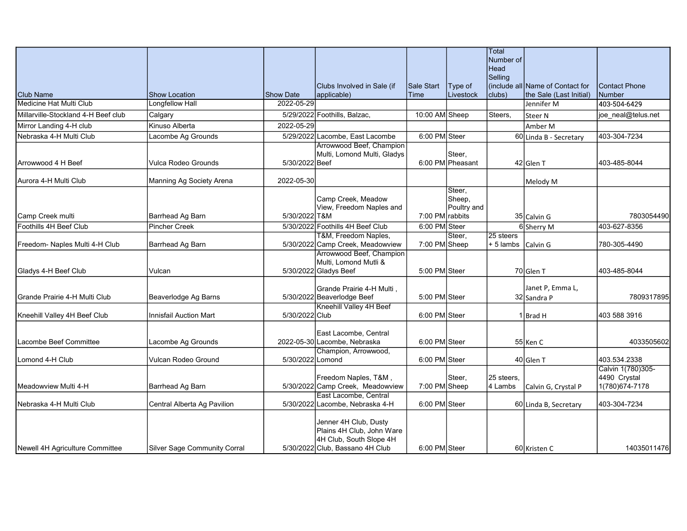|                                     |                               |                  |                                                                                                                  |                 |                                 | Total<br>Number of     |                                  |                                                     |
|-------------------------------------|-------------------------------|------------------|------------------------------------------------------------------------------------------------------------------|-----------------|---------------------------------|------------------------|----------------------------------|-----------------------------------------------------|
|                                     |                               |                  |                                                                                                                  |                 |                                 | <b>Head</b><br>Selling |                                  |                                                     |
|                                     |                               |                  | Clubs Involved in Sale (if                                                                                       | Sale Start      | Type of                         |                        | (include all Name of Contact for | <b>Contact Phone</b>                                |
| <b>Club Name</b>                    | <b>Show Location</b>          | Show Date        | applicable)                                                                                                      | Time            | Livestock                       | clubs)                 | the Sale (Last Initial)          | Number                                              |
| <b>Medicine Hat Multi Club</b>      | Longfellow Hall               | 2022-05-29       |                                                                                                                  |                 |                                 |                        | Jennifer M                       | 403-504-6429                                        |
| Millarville-Stockland 4-H Beef club | Calgary                       |                  | 5/29/2022 Foothills, Balzac,                                                                                     | 10:00 AM Sheep  |                                 | Steers,                | Steer N                          | joe_neal@telus.net                                  |
| Mirror Landing 4-H club             | Kinuso Alberta                | 2022-05-29       |                                                                                                                  |                 |                                 |                        | Amber M                          |                                                     |
| Nebraska 4-H Multi Club             | Lacombe Ag Grounds            |                  | 5/29/2022 Lacombe, East Lacombe                                                                                  | 6:00 PM Steer   |                                 |                        | 60 Linda B - Secretary           | 403-304-7234                                        |
| Arrowwood 4 H Beef                  | Vulca Rodeo Grounds           | 5/30/2022 Beef   | Arrowwood Beef, Champion<br>Multi, Lomond Multi, Gladys                                                          |                 | Steer,<br>6:00 PM Pheasant      |                        | 42 Glen T                        | 403-485-8044                                        |
| Aurora 4-H Multi Club               | Manning Ag Society Arena      | 2022-05-30       |                                                                                                                  |                 |                                 |                        | Melody M                         |                                                     |
| Camp Creek multi                    | Barrhead Ag Barn              | 5/30/2022 T&M    | Camp Creek, Meadow<br>View, Freedom Naples and                                                                   | 7:00 PM rabbits | Steer,<br>Sheep,<br>Poultry and |                        |                                  | 7803054490                                          |
| Foothills 4H Beef Club              | <b>Pincher Creek</b>          |                  | 5/30/2022 Foothills 4H Beef Club                                                                                 | 6:00 PM Steer   |                                 |                        | 35 Calvin G<br>6 Sherry M        | 403-627-8356                                        |
|                                     |                               |                  | T&M, Freedom Naples,                                                                                             |                 | Steer.                          | 25 steers              |                                  |                                                     |
| Freedom- Naples Multi 4-H Club      | Barrhead Ag Barn              |                  | 5/30/2022 Camp Creek, Meadowview                                                                                 | 7:00 PM Sheep   |                                 | $+ 5$ lambs            | Calvin G                         | 780-305-4490                                        |
|                                     |                               |                  | Arrowwood Beef, Champion<br>Multi, Lomond Mutli &                                                                |                 |                                 |                        |                                  |                                                     |
| Gladys 4-H Beef Club                | Vulcan                        |                  | 5/30/2022 Gladys Beef                                                                                            | 5:00 PM Steer   |                                 |                        | 70 Glen T                        | 403-485-8044                                        |
|                                     |                               |                  | Grande Prairie 4-H Multi,                                                                                        |                 |                                 |                        | Janet P, Emma L,                 |                                                     |
| Grande Prairie 4-H Multi Club       | Beaverlodge Ag Barns          |                  | 5/30/2022 Beaverlodge Beef                                                                                       | 5:00 PM Steer   |                                 |                        | 32 Sandra P                      | 7809317895                                          |
| Kneehill Valley 4H Beef Club        | <b>Innisfail Auction Mart</b> | 5/30/2022 Club   | Kneehill Valley 4H Beef                                                                                          | 6:00 PM Steer   |                                 |                        | 1   Brad H                       | 403 588 3916                                        |
| Lacombe Beef Committee              | Lacombe Ag Grounds            |                  | East Lacombe, Central<br>2022-05-30 Lacombe, Nebraska                                                            | 6:00 PM Steer   |                                 |                        | 55 Ken C                         | 4033505602                                          |
| Lomond 4-H Club                     | Vulcan Rodeo Ground           | 5/30/2022 Lomond | Champion, Arrowwood,                                                                                             | 6:00 PM Steer   |                                 |                        | 40 Glen T                        | 403.534.2338                                        |
| Meadowview Multi 4-H                | Barrhead Ag Barn              |                  | Freedom Naples, T&M,<br>5/30/2022 Camp Creek, Meadowview                                                         | 7:00 PM Sheep   | Steer,                          | l25 steers.<br>4 Lambs | Calvin G, Crystal P              | Calvin 1(780)305-<br>4490 Crystal<br>1(780)674-7178 |
| Nebraska 4-H Multi Club             | Central Alberta Ag Pavilion   |                  | East Lacombe, Central<br>5/30/2022 Lacombe, Nebraska 4-H                                                         | 6:00 PM Steer   |                                 |                        | 60 Linda B, Secretary            | 403-304-7234                                        |
| Newell 4H Agriculture Committee     | Silver Sage Community Corral  |                  | Jenner 4H Club, Dusty<br>Plains 4H Club, John Ware<br>4H Club, South Slope 4H<br>5/30/2022 Club, Bassano 4H Club | 6:00 PM Steer   |                                 |                        | 60 Kristen C                     | 14035011476                                         |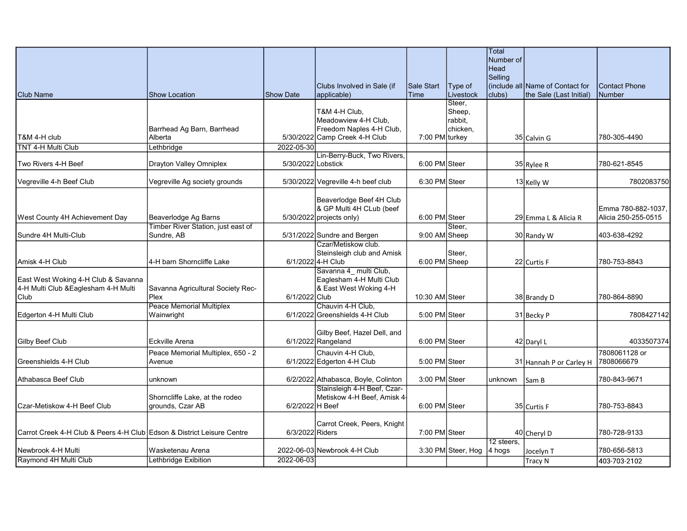|                                                                        |                                             |                    |                                                 |                |                             | Total                    |                                   |                             |
|------------------------------------------------------------------------|---------------------------------------------|--------------------|-------------------------------------------------|----------------|-----------------------------|--------------------------|-----------------------------------|-----------------------------|
|                                                                        |                                             |                    |                                                 |                |                             | Number of<br><b>Head</b> |                                   |                             |
|                                                                        |                                             |                    |                                                 |                |                             | Selling                  |                                   |                             |
|                                                                        |                                             |                    | Clubs Involved in Sale (if                      | Sale Start     | Type of                     |                          | l(include allIName of Contact for | <b>Contact Phone</b>        |
| <b>Club Name</b>                                                       | <b>Show Location</b>                        | <b>Show Date</b>   | applicable)                                     | Time           | Livestock                   | clubs)                   | the Sale (Last Initial)           | Number                      |
|                                                                        |                                             |                    | T&M 4-H Club,                                   |                | Steer,                      |                          |                                   |                             |
|                                                                        |                                             |                    | Meadowview 4-H Club,                            |                | Sheep,<br>rabbit,           |                          |                                   |                             |
|                                                                        | Barrhead Ag Barn, Barrhead                  |                    | Freedom Naples 4-H Club,                        |                | chicken,                    |                          |                                   |                             |
| T&M 4-H club                                                           | Alberta                                     |                    | 5/30/2022 Camp Creek 4-H Club                   | 7:00 PM turkey |                             |                          | 35 Calvin G                       | 780-305-4490                |
| <b>TNT 4-H Multi Club</b>                                              | Lethbridge                                  | 2022-05-30         |                                                 |                |                             |                          |                                   |                             |
|                                                                        |                                             |                    | Lin-Berry-Buck, Two Rivers,                     |                |                             |                          |                                   |                             |
| Two Rivers 4-H Beef                                                    | <b>Drayton Valley Omniplex</b>              | 5/30/2022 Lobstick |                                                 | 6:00 PM Steer  |                             |                          | 35 Rylee R                        | 780-621-8545                |
|                                                                        |                                             |                    |                                                 |                |                             |                          |                                   |                             |
| Vegreville 4-h Beef Club                                               | Vegreville Ag society grounds               |                    | 5/30/2022 Vegreville 4-h beef club              | 6:30 PM Steer  |                             |                          | 13 Kelly W                        | 7802083750                  |
|                                                                        |                                             |                    | Beaverlodge Beef 4H Club                        |                |                             |                          |                                   |                             |
|                                                                        |                                             |                    | & GP Multi 4H CLub (beef                        |                |                             |                          |                                   | Emma 780-882-1037,          |
| West County 4H Achievement Day                                         | Beaverlodge Ag Barns                        |                    | $5/30/2022$ projects only)                      | 6:00 PM Steer  |                             |                          | 29 Emma L & Alicia R              | Alicia 250-255-0515         |
|                                                                        | Timber River Station, just east of          |                    |                                                 |                | Steer.                      |                          |                                   |                             |
| Sundre 4H Multi-Club                                                   | Sundre, AB                                  |                    | 5/31/2022 Sundre and Bergen                     | 9:00 AM Sheep  |                             |                          | 30 Randy W                        | 403-638-4292                |
|                                                                        |                                             |                    | Czar/Metiskow club.                             |                |                             |                          |                                   |                             |
|                                                                        |                                             |                    | Steinsleigh club and Amisk                      |                | Steer,                      |                          |                                   |                             |
| Amisk 4-H Club                                                         | 4-H barn Shorncliffe Lake                   |                    | 6/1/2022 4-H Club                               | 6:00 PM Sheep  |                             |                          | 22 Curtis F                       | 780-753-8843                |
|                                                                        |                                             |                    | Savanna 4 multi Club,                           |                |                             |                          |                                   |                             |
| East West Woking 4-H Club & Savanna                                    |                                             |                    | Eaglesham 4-H Multi Club                        |                |                             |                          |                                   |                             |
| 4-H Multi Club & Eaglesham 4-H Multi                                   | Savanna Agricultural Society Rec-           |                    | & East West Woking 4-H                          |                |                             |                          |                                   |                             |
| Club                                                                   | <b>Plex</b>                                 | 6/1/2022 Club      |                                                 | 10:30 AM Steer |                             |                          | 38 Brandy D                       | 780-864-8890                |
|                                                                        | Peace Memorial Multiplex                    |                    | Chauvin 4-H Club,                               |                |                             |                          |                                   |                             |
| Edgerton 4-H Multi Club                                                | Wainwright                                  |                    | 6/1/2022 Greenshields 4-H Club                  | 5:00 PM Steer  |                             |                          | 31 Becky P                        | 7808427142                  |
|                                                                        |                                             |                    | Gilby Beef, Hazel Dell, and                     |                |                             |                          |                                   |                             |
| <b>Gilby Beef Club</b>                                                 | Eckville Arena                              |                    | $6/1/2022$ Rangeland                            | 6:00 PM Steer  |                             |                          | 42 Daryl L                        | 4033507374                  |
|                                                                        |                                             |                    |                                                 |                |                             |                          |                                   |                             |
| Greenshields 4-H Club                                                  | Peace Memorial Multiplex, 650 - 2<br>Avenue |                    | Chauvin 4-H Club,<br>6/1/2022 Edgerton 4-H Club | 5:00 PM Steer  |                             |                          |                                   | 7808061128 or<br>7808066679 |
|                                                                        |                                             |                    |                                                 |                |                             |                          | 31 Hannah P or Carley H           |                             |
| Athabasca Beef Club                                                    | unknown                                     |                    | 6/2/2022 Athabasca, Boyle, Colinton             | 3:00 PM Steer  |                             | unknown                  | lSam B                            | 780-843-9671                |
|                                                                        |                                             |                    | Stainsleigh 4-H Beef, Czar-                     |                |                             |                          |                                   |                             |
|                                                                        | Shorncliffe Lake, at the rodeo              |                    | Metiskow 4-H Beef, Amisk 4-                     |                |                             |                          |                                   |                             |
| Czar-Metiskow 4-H Beef Club                                            | grounds, Czar AB                            | 6/2/2022 H Beef    |                                                 | 6:00 PM Steer  |                             |                          | 35 Curtis F                       | 780-753-8843                |
|                                                                        |                                             |                    |                                                 |                |                             |                          |                                   |                             |
|                                                                        |                                             |                    | Carrot Creek, Peers, Knight                     |                |                             |                          |                                   |                             |
| Carrot Creek 4-H Club & Peers 4-H Club Edson & District Leisure Centre |                                             | 6/3/2022 Riders    |                                                 | 7:00 PM Steer  |                             |                          | 40 Cheryl D                       | 780-728-9133                |
| Newbrook 4-H Multi                                                     | Wasketenau Arena                            |                    | 2022-06-03 Newbrook 4-H Club                    |                | 3:30 PM Steer, Hog   4 hogs | 12 steers.               | Jocelyn T                         | 780-656-5813                |
| Raymond 4H Multi Club                                                  | Lethbridge Exibition                        | 2022-06-03         |                                                 |                |                             |                          | <b>Tracy N</b>                    | 403-703-2102                |
|                                                                        |                                             |                    |                                                 |                |                             |                          |                                   |                             |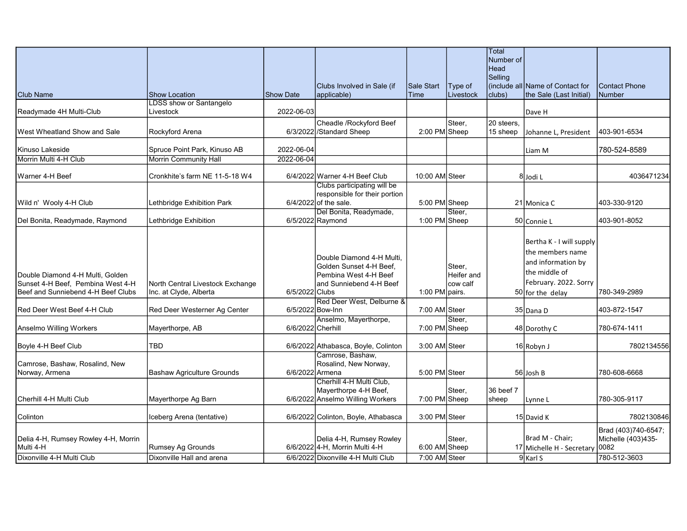|                                                                       |                                   |                   |                                                              |                |                      | Total<br>Number of     |                                  |                      |
|-----------------------------------------------------------------------|-----------------------------------|-------------------|--------------------------------------------------------------|----------------|----------------------|------------------------|----------------------------------|----------------------|
|                                                                       |                                   |                   |                                                              |                |                      | Head<br>Selling        |                                  |                      |
|                                                                       |                                   |                   | Clubs Involved in Sale (if                                   | Sale Start     | Type of              |                        | (include all Name of Contact for | <b>Contact Phone</b> |
| <b>Club Name</b>                                                      | <b>Show Location</b>              | <b>Show Date</b>  | applicable)                                                  | Time           | Livestock            | clubs)                 | the Sale (Last Initial)          | <b>Number</b>        |
|                                                                       | LDSS show or Santangelo           |                   |                                                              |                |                      |                        |                                  |                      |
| Readymade 4H Multi-Club                                               | Livestock                         | 2022-06-03        |                                                              |                |                      |                        | Dave H                           |                      |
| West Wheatland Show and Sale                                          | Rockyford Arena                   |                   | Cheadle /Rockyford Beef<br>6/3/2022 / Standard Sheep         | 2:00 PM Sheep  | Steer.               | 20 steers,<br>15 sheep | Johanne L, President             | 403-901-6534         |
| Kinuso Lakeside                                                       | Spruce Point Park, Kinuso AB      | 2022-06-04        |                                                              |                |                      |                        | Liam M                           | 780-524-8589         |
| Morrin Multi 4-H Club                                                 | <b>Morrin Community Hall</b>      | 2022-06-04        |                                                              |                |                      |                        |                                  |                      |
| Warner 4-H Beef                                                       | Cronkhite's farm NE 11-5-18 W4    |                   | 6/4/2022 Warner 4-H Beef Club                                | 10:00 AM Steer |                      |                        | 8Jodi L                          | 4036471234           |
|                                                                       |                                   |                   | Clubs participating will be<br>responsible for their portion |                |                      |                        |                                  |                      |
| Wild n' Wooly 4-H Club                                                | Lethbridge Exhibition Park        |                   | $6/4/2022$ of the sale.                                      | 5:00 PM Sheep  |                      |                        | 21 Monica C                      | 403-330-9120         |
|                                                                       |                                   |                   | Del Bonita, Readymade,                                       |                | Steer.               |                        |                                  |                      |
| Del Bonita, Readymade, Raymond                                        | Lethbridge Exhibition             |                   | 6/5/2022 Raymond                                             | 1:00 PM Sheep  |                      |                        | 50 Connie L                      | 403-901-8052         |
|                                                                       |                                   |                   |                                                              |                |                      |                        |                                  |                      |
|                                                                       |                                   |                   |                                                              |                |                      |                        | Bertha K - I will supply         |                      |
|                                                                       |                                   |                   |                                                              |                |                      |                        | the members name                 |                      |
|                                                                       |                                   |                   | Double Diamond 4-H Multi.                                    |                |                      |                        | and information by               |                      |
|                                                                       |                                   |                   | Golden Sunset 4-H Beef,<br>Pembina West 4-H Beef             |                | Steer,<br>Heifer and |                        | the middle of                    |                      |
| Double Diamond 4-H Multi, Golden<br>Sunset 4-H Beef, Pembina West 4-H | North Central Livestock Exchange  |                   | and Sunniebend 4-H Beef                                      |                | cow calf             |                        | February. 2022. Sorry            |                      |
| Beef and Sunniebend 4-H Beef Clubs                                    | Inc. at Clyde, Alberta            | 6/5/2022 Clubs    |                                                              | 1:00 PM pairs. |                      |                        | 50 for the delay                 | 780-349-2989         |
|                                                                       |                                   |                   | Red Deer West, Delburne &                                    |                |                      |                        |                                  |                      |
| Red Deer West Beef 4-H Club                                           | Red Deer Westerner Ag Center      |                   | 6/5/2022 Bow-Inn                                             | 7:00 AM Steer  |                      |                        | 35 Dana D                        | 403-872-1547         |
|                                                                       |                                   |                   | Anselmo, Mayerthorpe,                                        |                | Steer,               |                        |                                  |                      |
| Anselmo Willing Workers                                               | Mayerthorpe, AB                   | 6/6/2022 Cherhill |                                                              | 7:00 PM Sheep  |                      |                        | 48 Dorothy C                     | 780-674-1411         |
| Boyle 4-H Beef Club                                                   | TBD                               |                   | 6/6/2022 Athabasca, Boyle, Colinton                          | 3:00 AM Steer  |                      |                        | 16 Robyn J                       | 7802134556           |
|                                                                       |                                   |                   | Camrose, Bashaw,                                             |                |                      |                        |                                  |                      |
| Camrose, Bashaw, Rosalind, New                                        |                                   |                   | Rosalind, New Norway,                                        |                |                      |                        |                                  |                      |
| Norway, Armena                                                        | <b>Bashaw Agriculture Grounds</b> | 6/6/2022 Armena   |                                                              | 5:00 PM Steer  |                      |                        | 56 Josh B                        | 780-608-6668         |
|                                                                       |                                   |                   | Cherhill 4-H Multi Club,<br>Mayerthorpe 4-H Beef,            |                | Steer,               | 36 beef 7              |                                  |                      |
| Cherhill 4-H Multi Club                                               | Mayerthorpe Ag Barn               |                   | 6/6/2022 Anselmo Willing Workers                             | 7:00 PM Sheep  |                      | sheep                  | Lynne L                          | 780-305-9117         |
|                                                                       |                                   |                   |                                                              |                |                      |                        |                                  |                      |
| Colinton                                                              | Iceberg Arena (tentative)         |                   | 6/6/2022 Colinton, Boyle, Athabasca                          | 3:00 PM Steer  |                      |                        | 15 David K                       | 7802130846           |
|                                                                       |                                   |                   |                                                              |                |                      |                        |                                  | Brad (403)740-6547;  |
| Delia 4-H, Rumsey Rowley 4-H, Morrin                                  |                                   |                   | Delia 4-H, Rumsey Rowley                                     |                | Steer,               |                        | Brad M - Chair;                  | Michelle (403)435-   |
| Multi 4-H                                                             | Rumsey Ag Grounds                 |                   | 6/6/2022 4-H, Morrin Multi 4-H                               | 6:00 AM Sheep  |                      |                        | 17 Michelle H - Secretary        | 0082                 |
| Dixonville 4-H Multi Club                                             | Dixonville Hall and arena         |                   | 6/6/2022 Dixonville 4-H Multi Club                           | 7:00 AM Steer  |                      |                        | $9$ Karl S                       | 780-512-3603         |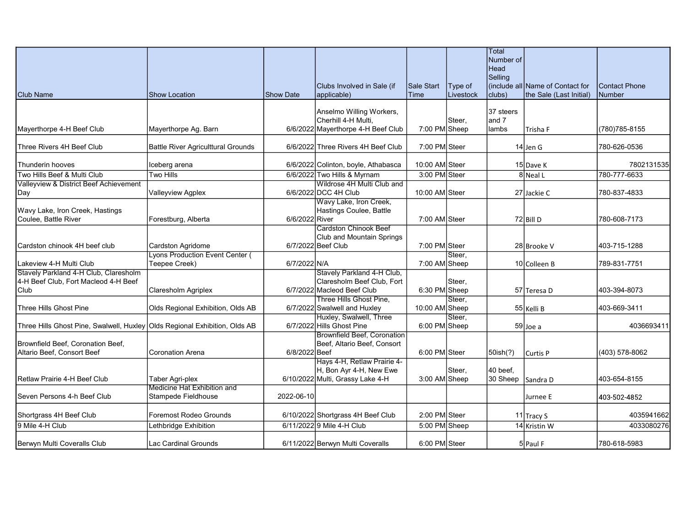|                                                                               |                                    |                  |                                                          |                |           | Total<br>Number of |                                  |                      |
|-------------------------------------------------------------------------------|------------------------------------|------------------|----------------------------------------------------------|----------------|-----------|--------------------|----------------------------------|----------------------|
|                                                                               |                                    |                  |                                                          |                |           | Head               |                                  |                      |
|                                                                               |                                    |                  | Clubs Involved in Sale (if                               | Sale Start     | Type of   | Selling            | (include all Name of Contact for | <b>Contact Phone</b> |
| <b>Club Name</b>                                                              | <b>Show Location</b>               | <b>Show Date</b> | applicable)                                              | Time           | Livestock | clubs)             | the Sale (Last Initial)          | <b>Number</b>        |
|                                                                               |                                    |                  | Anselmo Willing Workers,                                 |                |           | 37 steers          |                                  |                      |
|                                                                               |                                    |                  | Cherhill 4-H Multi,                                      |                | Steer,    | and 7              |                                  |                      |
| Mayerthorpe 4-H Beef Club                                                     | Mayerthorpe Ag. Barn               |                  | 6/6/2022 Mayerthorpe 4-H Beef Club                       | 7:00 PM Sheep  |           | lambs              | Trisha F                         | (780) 785-8155       |
| Three Rivers 4H Beef Club                                                     | Battle River Agriculttural Grounds |                  | 6/6/2022 Three Rivers 4H Beef Club                       | 7:00 PM Steer  |           |                    | $14$ Jen G                       | 780-626-0536         |
| Thunderin hooves                                                              | Iceberg arena                      |                  | 6/6/2022 Colinton, boyle, Athabasca                      | 10:00 AM Steer |           |                    | 15 Dave K                        | 7802131535           |
| Two Hills Beef & Multi Club                                                   | <b>Two Hills</b>                   |                  | 6/6/2022 Two Hills & Myrnam                              | 3:00 PM Steer  |           |                    | 8 Neal L                         | 780-777-6633         |
| Valleyview & District Beef Achievement                                        |                                    |                  | Wildrose 4H Multi Club and                               |                |           |                    |                                  |                      |
| Day                                                                           | Valleyview Agplex                  |                  | 6/6/2022 DCC 4H Club                                     | 10:00 AM Steer |           |                    | 27 Jackie C                      | 780-837-4833         |
|                                                                               |                                    |                  | Wavy Lake, Iron Creek,                                   |                |           |                    |                                  |                      |
| Wavy Lake, Iron Creek, Hastings<br>Coulee. Battle River                       | Forestburg, Alberta                | 6/6/2022 River   | Hastings Coulee, Battle                                  | 7:00 AM Steer  |           |                    | 72 Bill D                        | 780-608-7173         |
|                                                                               |                                    |                  | <b>Cardston Chinook Beef</b>                             |                |           |                    |                                  |                      |
|                                                                               |                                    |                  | Club and Mountain Springs                                |                |           |                    |                                  |                      |
| Cardston chinook 4H beef club                                                 | Cardston Agridome                  |                  | 6/7/2022 Beef Club                                       | 7:00 PM Steer  |           |                    | 28 Brooke V                      | 403-715-1288         |
|                                                                               | Lyons Production Event Center (    |                  |                                                          |                | Steer.    |                    |                                  |                      |
| Lakeview 4-H Multi Club                                                       | Teepee Creek)                      | 6/7/2022 N/A     |                                                          | 7:00 AM Sheep  |           |                    | 10 Colleen B                     | 789-831-7751         |
| Stavely Parkland 4-H Club, Claresholm<br>4-H Beef Club, Fort Macleod 4-H Beef |                                    |                  | Stavely Parkland 4-H Club,<br>Claresholm Beef Club, Fort |                |           |                    |                                  |                      |
| Club                                                                          | Claresholm Agriplex                |                  | 6/7/2022 Macleod Beef Club                               | 6:30 PM Sheep  | Steer,    |                    | 57 Teresa D                      | 403-394-8073         |
|                                                                               |                                    |                  | Three Hills Ghost Pine,                                  |                | Steer,    |                    |                                  |                      |
| Three Hills Ghost Pine                                                        | Olds Regional Exhibition, Olds AB  |                  | 6/7/2022 Swalwell and Huxley                             | 10:00 AM Sheep |           |                    | 55 Kelli B                       | 403-669-3411         |
|                                                                               |                                    |                  | Huxley, Swalwell, Three                                  |                | Steer.    |                    |                                  |                      |
| Three Hills Ghost Pine, Swalwell, Huxley Olds Regional Exhibition, Olds AB    |                                    |                  | 6/7/2022 Hills Ghost Pine                                | 6:00 PM Sheep  |           |                    | 59 Joe a                         | 4036693411           |
|                                                                               |                                    |                  | <b>Brownfield Beef, Coronation</b>                       |                |           |                    |                                  |                      |
| Brownfield Beef, Coronation Beef,<br>Altario Beef, Consort Beef               | Coronation Arena                   | 6/8/2022 Beef    | Beef, Altario Beef, Consort                              | 6:00 PM Steer  |           | 50ish(?)           | Curtis P                         | (403) 578-8062       |
|                                                                               |                                    |                  | Hays 4-H, Retlaw Prairie 4-                              |                |           |                    |                                  |                      |
|                                                                               |                                    |                  | H, Bon Ayr 4-H, New Ewe                                  |                | Steer,    | 40 beef,           |                                  |                      |
| Retlaw Prairie 4-H Beef Club                                                  | Taber Agri-plex                    |                  | 6/10/2022 Multi, Grassy Lake 4-H                         | 3:00 AM Sheep  |           | 30 Sheep Sandra D  |                                  | 403-654-8155         |
|                                                                               | Medicine Hat Exhibition and        |                  |                                                          |                |           |                    |                                  |                      |
| Seven Persons 4-h Beef Club                                                   | Stampede Fieldhouse                | 2022-06-10       |                                                          |                |           |                    | Jurnee E                         | 403-502-4852         |
| Shortgrass 4H Beef Club                                                       | Foremost Rodeo Grounds             |                  | 6/10/2022 Shortgrass 4H Beef Club                        | 2:00 PM Steer  |           |                    | 11 Tracy S                       | 4035941662           |
| 9 Mile 4-H Club                                                               | Lethbridge Exhibition              |                  | 6/11/2022 9 Mile 4-H Club                                | 5:00 PM Sheep  |           |                    | 14 Kristin W                     | 4033080276           |
| Berwyn Multi Coveralls Club                                                   | Lac Cardinal Grounds               |                  | 6/11/2022 Berwyn Multi Coveralls                         | 6:00 PM Steer  |           |                    | 5 Paul F                         | 780-618-5983         |